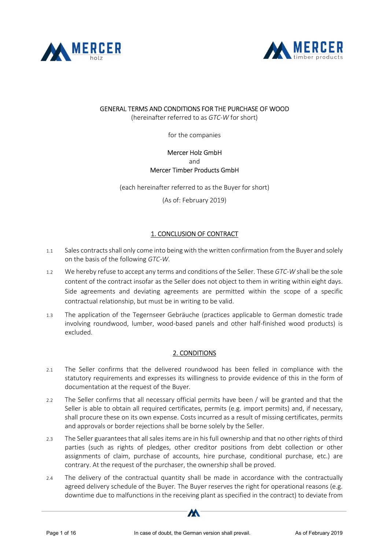



#### GENERAL TERMS AND CONDITIONS FOR THE PURCHASE OF WOOD

(hereinafter referred to as GTC-W for short)

for the companies

#### Mercer Holz GmbH and Mercer Timber Products GmbH

(each hereinafter referred to as the Buyer for short)

(As of: February 2019)

# 1. CONCLUSION OF CONTRACT

- 1.1 Sales contracts shall only come into being with the written confirmation from the Buyer and solely on the basis of the following GTC-W.
- 1.2 We hereby refuse to accept any terms and conditions of the Seller. These GTC-W shall be the sole content of the contract insofar as the Seller does not object to them in writing within eight days. Side agreements and deviating agreements are permitted within the scope of a specific contractual relationship, but must be in writing to be valid.
- 1.3 The application of the Tegernseer Gebräuche (practices applicable to German domestic trade involving roundwood, lumber, wood-based panels and other half-finished wood products) is excluded.

# 2. CONDITIONS

- 2.1 The Seller confirms that the delivered roundwood has been felled in compliance with the statutory requirements and expresses its willingness to provide evidence of this in the form of documentation at the request of the Buyer.
- 2.2 The Seller confirms that all necessary official permits have been / will be granted and that the Seller is able to obtain all required certificates, permits (e.g. import permits) and, if necessary, shall procure these on its own expense. Costs incurred as a result of missing certificates, permits and approvals or border rejections shall be borne solely by the Seller.
- 2.3 The Seller guarantees that all sales items are in his full ownership and that no other rights of third parties (such as rights of pledges, other creditor positions from debt collection or other assignments of claim, purchase of accounts, hire purchase, conditional purchase, etc.) are contrary. At the request of the purchaser, the ownership shall be proved.
- 2.4 The delivery of the contractual quantity shall be made in accordance with the contractually agreed delivery schedule of the Buyer. The Buyer reserves the right for operational reasons (e.g. downtime due to malfunctions in the receiving plant as specified in the contract) to deviate from

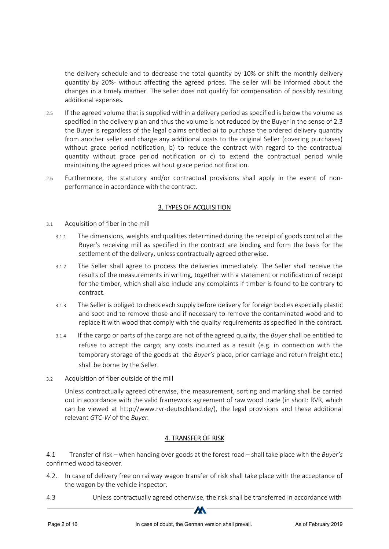the delivery schedule and to decrease the total quantity by 10% or shift the monthly delivery quantity by 20%- without affecting the agreed prices. The seller will be informed about the changes in a timely manner. The seller does not qualify for compensation of possibly resulting additional expenses.

- 2.5 If the agreed volume that is supplied within a delivery period as specified is below the volume as specified in the delivery plan and thus the volume is not reduced by the Buyer in the sense of 2.3 the Buyer is regardless of the legal claims entitled a) to purchase the ordered delivery quantity from another seller and charge any additional costs to the original Seller (covering purchases) without grace period notification, b) to reduce the contract with regard to the contractual quantity without grace period notification or c) to extend the contractual period while maintaining the agreed prices without grace period notification.
- 2.6 Furthermore, the statutory and/or contractual provisions shall apply in the event of nonperformance in accordance with the contract.

# 3. TYPES OF ACQUISITION

- 3.1 Acquisition of fiber in the mill
	- 3.1.1 The dimensions, weights and qualities determined during the receipt of goods control at the Buyer's receiving mill as specified in the contract are binding and form the basis for the settlement of the delivery, unless contractually agreed otherwise.
	- 3.1.2 The Seller shall agree to process the deliveries immediately. The Seller shall receive the results of the measurements in writing, together with a statement or notification of receipt for the timber, which shall also include any complaints if timber is found to be contrary to contract.
	- 3.1.3 The Seller is obliged to check each supply before delivery for foreign bodies especially plastic and soot and to remove those and if necessary to remove the contaminated wood and to replace it with wood that comply with the quality requirements as specified in the contract.
	- 3.1.4 If the cargo or parts of the cargo are not of the agreed quality, the Buyer shall be entitled to refuse to accept the cargo; any costs incurred as a result (e.g. in connection with the temporary storage of the goods at the *Buyer's* place, prior carriage and return freight etc.) shall be borne by the Seller.
- 3.2 Acquisition of fiber outside of the mill

Unless contractually agreed otherwise, the measurement, sorting and marking shall be carried out in accordance with the valid framework agreement of raw wood trade (in short: RVR, which can be viewed at http://www.rvr-deutschland.de/), the legal provisions and these additional relevant GTC-W of the Buyer.

# 4. TRANSFER OF RISK

4.1 Transfer of risk – when handing over goods at the forest road – shall take place with the Buyer's confirmed wood takeover.

- 4.2. In case of delivery free on railway wagon transfer of risk shall take place with the acceptance of the wagon by the vehicle inspector.
- 4.3 Unless contractually agreed otherwise, the risk shall be transferred in accordance with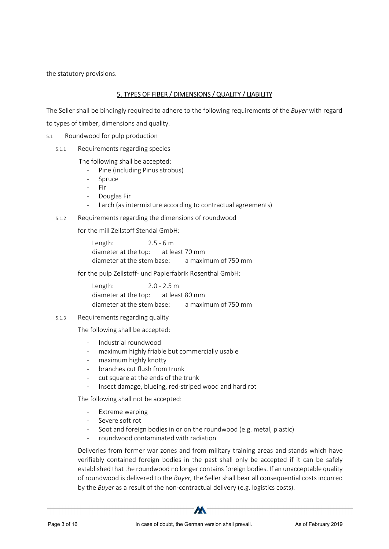the statutory provisions.

# 5. TYPES OF FIBER / DIMENSIONS / QUALITY / LIABILITY

The Seller shall be bindingly required to adhere to the following requirements of the Buyer with regard

to types of timber, dimensions and quality.

- 5.1 Roundwood for pulp production
	- 5.1.1 Requirements regarding species
		- The following shall be accepted:
			- Pine (including Pinus strobus)
			- **Spruce**
			- Fir
			- Douglas Fir
			- Larch (as intermixture according to contractual agreements)
	- 5.1.2 Requirements regarding the dimensions of roundwood
		- for the mill Zellstoff Stendal GmbH:

Length: 2.5 - 6 m diameter at the top: at least 70 mm diameter at the stem base: a maximum of 750 mm

for the pulp Zellstoff- und Papierfabrik Rosenthal GmbH:

Length: 2.0 - 2.5 m diameter at the top: at least 80 mm diameter at the stem base: a maximum of 750 mm

5.1.3 Requirements regarding quality

The following shall be accepted:

- Industrial roundwood
- maximum highly friable but commercially usable
- maximum highly knotty
- branches cut flush from trunk
- cut square at the ends of the trunk
- Insect damage, blueing, red-striped wood and hard rot

The following shall not be accepted:

- Extreme warping
- Severe soft rot
- Soot and foreign bodies in or on the roundwood (e.g. metal, plastic)
- roundwood contaminated with radiation

Deliveries from former war zones and from military training areas and stands which have verifiably contained foreign bodies in the past shall only be accepted if it can be safely established that the roundwood no longer contains foreign bodies. If an unacceptable quality of roundwood is delivered to the Buyer, the Seller shall bear all consequential costs incurred by the Buyer as a result of the non-contractual delivery (e.g. logistics costs).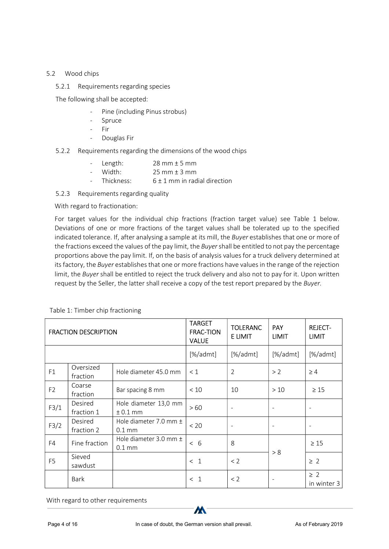#### 5.2 Wood chips

5.2.1 Requirements regarding species

The following shall be accepted:

- Pine (including Pinus strobus)
- Spruce
- Fir
- Douglas Fir
- 5.2.2 Requirements regarding the dimensions of the wood chips
	- Length:  $28 \text{ mm} \pm 5 \text{ mm}$
	- Width:  $25 \text{ mm} \pm 3 \text{ mm}$
	- Thickness:  $6 \pm 1$  mm in radial direction
- 5.2.3 Requirements regarding quality

With regard to fractionation:

For target values for the individual chip fractions (fraction target value) see Table 1 below. Deviations of one or more fractions of the target values shall be tolerated up to the specified indicated tolerance. If, after analysing a sample at its mill, the Buyer establishes that one or more of the fractions exceed the values of the pay limit, the Buyer shall be entitled to not pay the percentage proportions above the pay limit. If, on the basis of analysis values for a truck delivery determined at its factory, the Buyer establishes that one or more fractions have values in the range of the rejection limit, the Buyer shall be entitled to reject the truck delivery and also not to pay for it. Upon written request by the Seller, the latter shall receive a copy of the test report prepared by the Buyer.

| <b>FRACTION DESCRIPTION</b> |                       |                                                | <b>TARGET</b><br><b>FRAC-TION</b><br><b>VALUE</b> | <b>TOLERANC</b><br>E LIMIT | PAY<br><b>LIMIT</b>      | <b>REJECT-</b><br><b>LIMIT</b> |
|-----------------------------|-----------------------|------------------------------------------------|---------------------------------------------------|----------------------------|--------------------------|--------------------------------|
|                             |                       |                                                | [%/admt]                                          | $[\%$ /admt]               | [%/admt]                 | [%/admt]                       |
| F1                          | Oversized<br>fraction | Hole diameter 45.0 mm                          | $\leq 1$                                          | $\overline{2}$             | > 2                      | $\geq 4$                       |
| F <sub>2</sub>              | Coarse<br>fraction    | Bar spacing 8 mm                               | $<10$                                             | 10                         | $>10$                    | $\geq 15$                      |
| F3/1                        | Desired<br>fraction 1 | Hole diameter 13,0 mm<br>$± 0.1$ mm            | >60                                               | $\overline{\phantom{a}}$   | $\overline{\phantom{a}}$ | $\sim$                         |
| F3/2                        | Desired<br>fraction 2 | Hole diameter 7.0 mm $\pm$<br>$0.1 \text{ mm}$ | < 20                                              | $\overline{\phantom{a}}$   | $\overline{\phantom{a}}$ | $\overline{\phantom{a}}$       |
| F4                          | Fine fraction         | Hole diameter 3.0 mm $\pm$<br>$0.1 \text{ mm}$ | < 6                                               | 8                          |                          | $\geq 15$                      |
| F <sub>5</sub>              | Sieved<br>sawdust     |                                                | $\leq$ 1                                          | < 2                        | > 8                      | $\geq$ 2                       |
|                             | Bark                  |                                                | < 1                                               | < 2                        | $\overline{\phantom{a}}$ | $\geq$ 2<br>in winter 3        |

Table 1: Timber chip fractioning

With regard to other requirements

 $\boldsymbol{M}$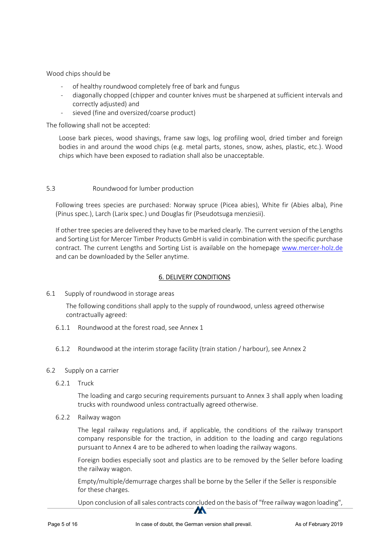Wood chips should be

- of healthy roundwood completely free of bark and fungus
- diagonally chopped (chipper and counter knives must be sharpened at sufficient intervals and correctly adjusted) and
- sieved (fine and oversized/coarse product)

The following shall not be accepted:

Loose bark pieces, wood shavings, frame saw logs, log profiling wool, dried timber and foreign bodies in and around the wood chips (e.g. metal parts, stones, snow, ashes, plastic, etc.). Wood chips which have been exposed to radiation shall also be unacceptable.

#### 5.3 Roundwood for lumber production

Following trees species are purchased: Norway spruce (Picea abies), White fir (Abies alba), Pine (Pinus spec.), Larch (Larix spec.) und Douglas fir (Pseudotsuga menziesii).

If other tree species are delivered they have to be marked clearly. The current version of the Lengths and Sorting List for Mercer Timber Products GmbH is valid in combination with the specific purchase contract. The current Lengths and Sorting List is available on the homepage www.mercer-holz.de and can be downloaded by the Seller anytime.

#### 6. DELIVERY CONDITIONS

6.1 Supply of roundwood in storage areas

The following conditions shall apply to the supply of roundwood, unless agreed otherwise contractually agreed:

- 6.1.1 Roundwood at the forest road, see Annex 1
- 6.1.2 Roundwood at the interim storage facility (train station / harbour), see Annex 2
- 6.2 Supply on a carrier
	- 6.2.1 Truck

The loading and cargo securing requirements pursuant to Annex 3 shall apply when loading trucks with roundwood unless contractually agreed otherwise.

6.2.2 Railway wagon

The legal railway regulations and, if applicable, the conditions of the railway transport company responsible for the traction, in addition to the loading and cargo regulations pursuant to Annex 4 are to be adhered to when loading the railway wagons.

Foreign bodies especially soot and plastics are to be removed by the Seller before loading the railway wagon.

Empty/multiple/demurrage charges shall be borne by the Seller if the Seller is responsible for these charges.

Upon conclusion of all sales contracts concluded on the basis of "free railway wagon loading",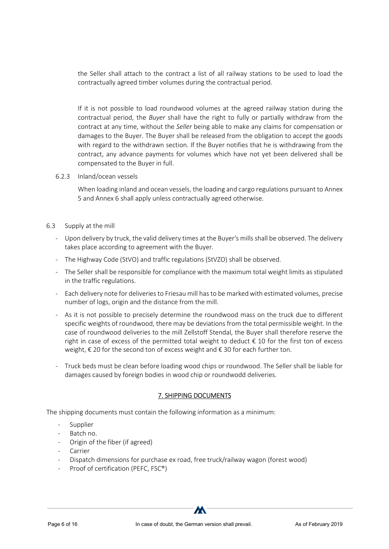the Seller shall attach to the contract a list of all railway stations to be used to load the contractually agreed timber volumes during the contractual period.

If it is not possible to load roundwood volumes at the agreed railway station during the contractual period, the Buyer shall have the right to fully or partially withdraw from the contract at any time, without the Seller being able to make any claims for compensation or damages to the Buyer. The Buyer shall be released from the obligation to accept the goods with regard to the withdrawn section. If the Buyer notifies that he is withdrawing from the contract, any advance payments for volumes which have not yet been delivered shall be compensated to the Buyer in full.

6.2.3 Inland/ocean vessels

When loading inland and ocean vessels, the loading and cargo regulations pursuant to Annex 5 and Annex 6 shall apply unless contractually agreed otherwise.

- 6.3 Supply at the mill
	- Upon delivery by truck, the valid delivery times at the Buyer's mills shall be observed. The delivery takes place according to agreement with the Buyer.
	- The Highway Code (StVO) and traffic regulations (StVZO) shall be observed.
	- The Seller shall be responsible for compliance with the maximum total weight limits as stipulated in the traffic regulations.
	- Each delivery note for deliveries to Friesau mill has to be marked with estimated volumes, precise number of logs, origin and the distance from the mill.
	- As it is not possible to precisely determine the roundwood mass on the truck due to different specific weights of roundwood, there may be deviations from the total permissible weight. In the case of roundwood deliveries to the mill Zellstoff Stendal, the Buyer shall therefore reserve the right in case of excess of the permitted total weight to deduct  $\epsilon$  10 for the first ton of excess weight, € 20 for the second ton of excess weight and € 30 for each further ton.
	- Truck beds must be clean before loading wood chips or roundwood. The Seller shall be liable for damages caused by foreign bodies in wood chip or roundwodd deliveries.

# 7. SHIPPING DOCUMENTS

The shipping documents must contain the following information as a minimum:

- **Supplier**
- Batch no.
- Origin of the fiber (if agreed)
- **Carrier**
- Dispatch dimensions for purchase ex road, free truck/railway wagon (forest wood)
- Proof of certification (PEFC, FSC<sup>®</sup>)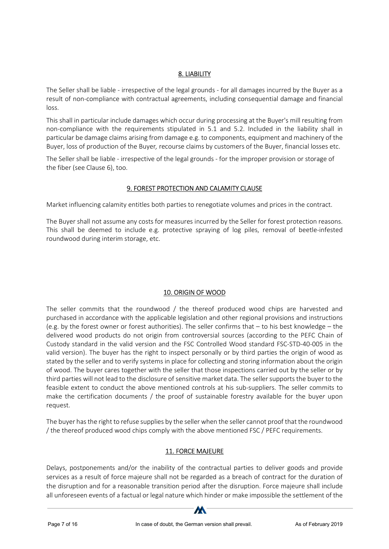# 8. LIABILITY

The Seller shall be liable - irrespective of the legal grounds - for all damages incurred by the Buyer as a result of non-compliance with contractual agreements, including consequential damage and financial loss.

This shall in particular include damages which occur during processing at the Buyer's mill resulting from non-compliance with the requirements stipulated in 5.1 and 5.2. Included in the liability shall in particular be damage claims arising from damage e.g. to components, equipment and machinery of the Buyer, loss of production of the Buyer, recourse claims by customers of the Buyer, financial losses etc.

The Seller shall be liable - irrespective of the legal grounds - for the improper provision or storage of the fiber (see Clause 6), too.

# 9. FOREST PROTECTION AND CALAMITY CLAUSE

Market influencing calamity entitles both parties to renegotiate volumes and prices in the contract.

The Buyer shall not assume any costs for measures incurred by the Seller for forest protection reasons. This shall be deemed to include e.g. protective spraying of log piles, removal of beetle-infested roundwood during interim storage, etc.

# 10. ORIGIN OF WOOD

The seller commits that the roundwood / the thereof produced wood chips are harvested and purchased in accordance with the applicable legislation and other regional provisions and instructions (e.g. by the forest owner or forest authorities). The seller confirms that – to his best knowledge – the delivered wood products do not origin from controversial sources (according to the PEFC Chain of Custody standard in the valid version and the FSC Controlled Wood standard FSC-STD-40-005 in the valid version). The buyer has the right to inspect personally or by third parties the origin of wood as stated by the seller and to verify systems in place for collecting and storing information about the origin of wood. The buyer cares together with the seller that those inspections carried out by the seller or by third parties will not lead to the disclosure of sensitive market data. The seller supports the buyer to the feasible extent to conduct the above mentioned controls at his sub-suppliers. The seller commits to make the certification documents / the proof of sustainable forestry available for the buyer upon request.

The buyer has the right to refuse supplies by the seller when the seller cannot proof that the roundwood / the thereof produced wood chips comply with the above mentioned FSC / PEFC requirements.

# 11. FORCE MAJEURE

Delays, postponements and/or the inability of the contractual parties to deliver goods and provide services as a result of force majeure shall not be regarded as a breach of contract for the duration of the disruption and for a reasonable transition period after the disruption. Force majeure shall include all unforeseen events of a factual or legal nature which hinder or make impossible the settlement of the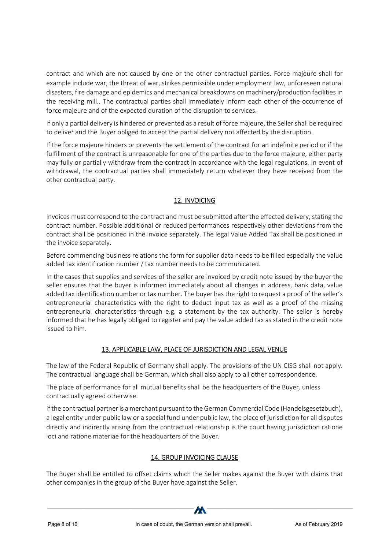contract and which are not caused by one or the other contractual parties. Force majeure shall for example include war, the threat of war, strikes permissible under employment law, unforeseen natural disasters, fire damage and epidemics and mechanical breakdowns on machinery/production facilities in the receiving mill.. The contractual parties shall immediately inform each other of the occurrence of force majeure and of the expected duration of the disruption to services.

If only a partial delivery is hindered or prevented as a result of force majeure, the Seller shall be required to deliver and the Buyer obliged to accept the partial delivery not affected by the disruption.

If the force majeure hinders or prevents the settlement of the contract for an indefinite period or if the fulfillment of the contract is unreasonable for one of the parties due to the force majeure, either party may fully or partially withdraw from the contract in accordance with the legal regulations. In event of withdrawal, the contractual parties shall immediately return whatever they have received from the other contractual party.

# 12. INVOICING

Invoices must correspond to the contract and must be submitted after the effected delivery, stating the contract number. Possible additional or reduced performances respectively other deviations from the contract shall be positioned in the invoice separately. The legal Value Added Tax shall be positioned in the invoice separately.

Before commencing business relations the form for supplier data needs to be filled especially the value added tax identification number / tax number needs to be communicated.

In the cases that supplies and services of the seller are invoiced by credit note issued by the buyer the seller ensures that the buyer is informed immediately about all changes in address, bank data, value added tax identification number or tax number. The buyer has the right to request a proof of the seller's entrepreneurial characteristics with the right to deduct input tax as well as a proof of the missing entrepreneurial characteristics through e.g. a statement by the tax authority. The seller is hereby informed that he has legally obliged to register and pay the value added tax as stated in the credit note issued to him.

# 13. APPLICABLE LAW, PLACE OF JURISDICTION AND LEGAL VENUE

The law of the Federal Republic of Germany shall apply. The provisions of the UN CISG shall not apply. The contractual language shall be German, which shall also apply to all other correspondence.

The place of performance for all mutual benefits shall be the headquarters of the Buyer, unless contractually agreed otherwise.

If the contractual partner is a merchant pursuant to the German Commercial Code (Handelsgesetzbuch), a legal entity under public law or a special fund under public law, the place of jurisdiction for all disputes directly and indirectly arising from the contractual relationship is the court having jurisdiction ratione loci and ratione materiae for the headquarters of the Buyer.

# 14. GROUP INVOICING CLAUSE

The Buyer shall be entitled to offset claims which the Seller makes against the Buyer with claims that other companies in the group of the Buyer have against the Seller.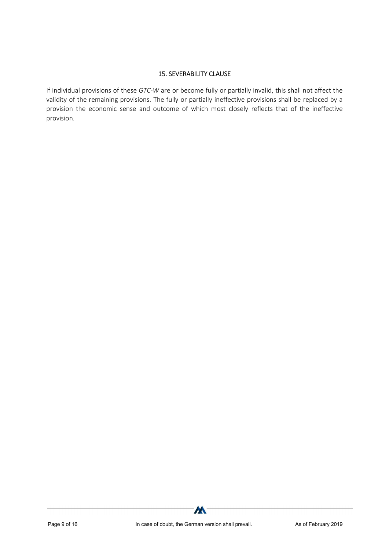#### 15. SEVERABILITY CLAUSE

If individual provisions of these GTC-W are or become fully or partially invalid, this shall not affect the validity of the remaining provisions. The fully or partially ineffective provisions shall be replaced by a provision the economic sense and outcome of which most closely reflects that of the ineffective provision.

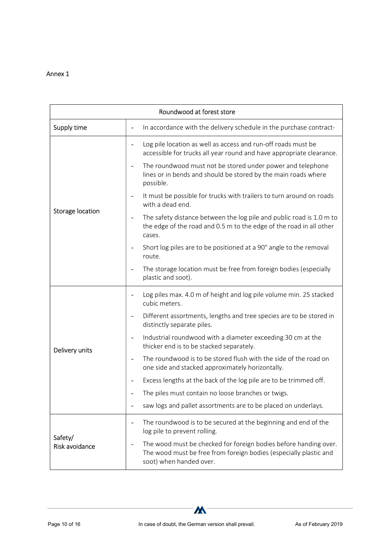| Roundwood at forest store |                                                                                                                                                                  |  |  |  |  |
|---------------------------|------------------------------------------------------------------------------------------------------------------------------------------------------------------|--|--|--|--|
| Supply time               | In accordance with the delivery schedule in the purchase contract-                                                                                               |  |  |  |  |
|                           | Log pile location as well as access and run-off roads must be<br>accessible for trucks all year round and have appropriate clearance.                            |  |  |  |  |
|                           | The roundwood must not be stored under power and telephone<br>lines or in bends and should be stored by the main roads where<br>possible.                        |  |  |  |  |
|                           | It must be possible for trucks with trailers to turn around on roads<br>with a dead end.                                                                         |  |  |  |  |
| Storage location          | The safety distance between the log pile and public road is 1.0 m to<br>the edge of the road and 0.5 m to the edge of the road in all other<br>cases.            |  |  |  |  |
|                           | Short log piles are to be positioned at a 90° angle to the removal<br>route.                                                                                     |  |  |  |  |
|                           | The storage location must be free from foreign bodies (especially<br>plastic and soot).                                                                          |  |  |  |  |
|                           | Log piles max. 4.0 m of height and log pile volume min. 25 stacked<br>cubic meters.                                                                              |  |  |  |  |
|                           | Different assortments, lengths and tree species are to be stored in<br>distinctly separate piles.                                                                |  |  |  |  |
| Delivery units            | Industrial roundwood with a diameter exceeding 30 cm at the<br>thicker end is to be stacked separately.                                                          |  |  |  |  |
|                           | The roundwood is to be stored flush with the side of the road on<br>$\overline{\phantom{a}}$<br>one side and stacked approximately horizontally.                 |  |  |  |  |
|                           | Excess lengths at the back of the log pile are to be trimmed off.                                                                                                |  |  |  |  |
|                           | The piles must contain no loose branches or twigs.                                                                                                               |  |  |  |  |
|                           | saw logs and pallet assortments are to be placed on underlays.                                                                                                   |  |  |  |  |
|                           | The roundwood is to be secured at the beginning and end of the<br>$\overline{\phantom{a}}$<br>log pile to prevent rolling.                                       |  |  |  |  |
| Safety/<br>Risk avoidance | The wood must be checked for foreign bodies before handing over.<br>The wood must be free from foreign bodies (especially plastic and<br>soot) when handed over. |  |  |  |  |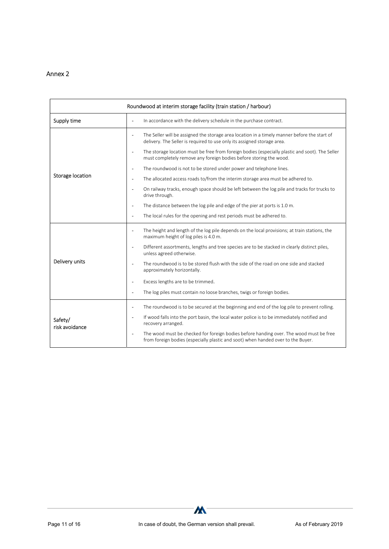| Roundwood at interim storage facility (train station / harbour) |                                                                                                                                                                            |  |  |  |  |
|-----------------------------------------------------------------|----------------------------------------------------------------------------------------------------------------------------------------------------------------------------|--|--|--|--|
| Supply time                                                     | In accordance with the delivery schedule in the purchase contract.<br>$\blacksquare$                                                                                       |  |  |  |  |
|                                                                 | The Seller will be assigned the storage area location in a timely manner before the start of<br>delivery. The Seller is required to use only its assigned storage area.    |  |  |  |  |
|                                                                 | The storage location must be free from foreign bodies (especially plastic and soot). The Seller<br>must completely remove any foreign bodies before storing the wood.      |  |  |  |  |
|                                                                 | The roundwood is not to be stored under power and telephone lines.                                                                                                         |  |  |  |  |
| Storage location                                                | The allocated access roads to/from the interim storage area must be adhered to.<br>$\sim$                                                                                  |  |  |  |  |
|                                                                 | On railway tracks, enough space should be left between the log pile and tracks for trucks to<br>drive through.                                                             |  |  |  |  |
|                                                                 | The distance between the log pile and edge of the pier at ports is 1.0 m.                                                                                                  |  |  |  |  |
|                                                                 | The local rules for the opening and rest periods must be adhered to.<br>$\overline{\phantom{a}}$                                                                           |  |  |  |  |
|                                                                 | The height and length of the log pile depends on the local provisions; at train stations, the<br>maximum height of log piles is 4.0 m.                                     |  |  |  |  |
|                                                                 | Different assortments, lengths and tree species are to be stacked in clearly distinct piles,<br>$\sim$<br>unless agreed otherwise.                                         |  |  |  |  |
| Delivery units                                                  | The roundwood is to be stored flush with the side of the road on one side and stacked<br>approximately horizontally.                                                       |  |  |  |  |
|                                                                 | Excess lengths are to be trimmed.                                                                                                                                          |  |  |  |  |
|                                                                 | The log piles must contain no loose branches, twigs or foreign bodies.<br>$\blacksquare$                                                                                   |  |  |  |  |
|                                                                 | The roundwood is to be secured at the beginning and end of the log pile to prevent rolling.<br>$\overline{\phantom{a}}$                                                    |  |  |  |  |
| Safety/<br>risk avoidance                                       | If wood falls into the port basin, the local water police is to be immediately notified and<br>$\sim$<br>recovery arranged.                                                |  |  |  |  |
|                                                                 | The wood must be checked for foreign bodies before handing over. The wood must be free<br>from foreign bodies (especially plastic and soot) when handed over to the Buyer. |  |  |  |  |

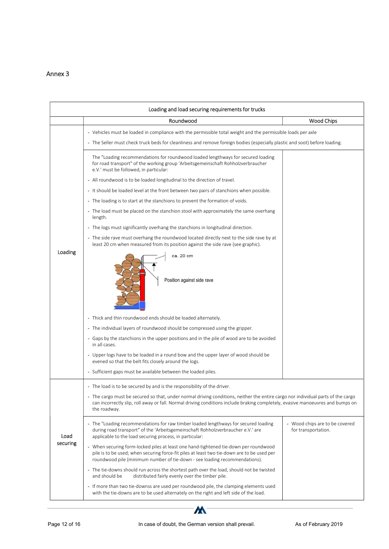|          | Loading and load securing requirements for trucks                                                                                                                                                                                                                                  |                                                       |  |  |  |
|----------|------------------------------------------------------------------------------------------------------------------------------------------------------------------------------------------------------------------------------------------------------------------------------------|-------------------------------------------------------|--|--|--|
|          | Roundwood                                                                                                                                                                                                                                                                          | Wood Chips                                            |  |  |  |
|          | - Vehicles must be loaded in compliance with the permissible total weight and the permissible loads per axle                                                                                                                                                                       |                                                       |  |  |  |
|          | - The Seller must check truck beds for cleanliness and remove foreign bodies (especially plastic and soot) before loading.                                                                                                                                                         |                                                       |  |  |  |
|          | The "Loading recommendations for roundwood loaded lengthways for secured loading<br>for road transport" of the working group 'Arbeitsgemeinschaft Rohholzverbraucher<br>e.V.' must be followed, in particular:                                                                     |                                                       |  |  |  |
|          | - All roundwood is to be loaded longitudinal to the direction of travel.                                                                                                                                                                                                           |                                                       |  |  |  |
|          | - It should be loaded level at the front between two pairs of stanchions when possible.                                                                                                                                                                                            |                                                       |  |  |  |
|          | - The loading is to start at the stanchions to prevent the formation of voids.                                                                                                                                                                                                     |                                                       |  |  |  |
|          | - The load must be placed on the stanchion stool with approximately the same overhang<br>length.                                                                                                                                                                                   |                                                       |  |  |  |
|          | - The logs must significantly overhang the stanchions in longitudinal direction.                                                                                                                                                                                                   |                                                       |  |  |  |
|          | - The side rave must overhang the roundwood located directly next to the side rave by at<br>least 20 cm when measured from its position against the side rave (see graphic).                                                                                                       |                                                       |  |  |  |
| Loading  | ca. 20 cm<br>Position against side rave                                                                                                                                                                                                                                            |                                                       |  |  |  |
|          | - Thick and thin roundwood ends should be loaded alternately.                                                                                                                                                                                                                      |                                                       |  |  |  |
|          | - The individual layers of roundwood should be compressed using the gripper.                                                                                                                                                                                                       |                                                       |  |  |  |
|          | - Gaps by the stanchions in the upper positions and in the pile of wood are to be avoided<br>in all cases.                                                                                                                                                                         |                                                       |  |  |  |
|          | - Upper logs have to be loaded in a round bow and the upper layer of wood should be<br>evened so that the belt fits closely around the logs.                                                                                                                                       |                                                       |  |  |  |
|          | - Sufficient gaps must be available between the loaded piles.                                                                                                                                                                                                                      |                                                       |  |  |  |
|          | - The load is to be secured by and is the responsibility of the driver.                                                                                                                                                                                                            |                                                       |  |  |  |
|          | - The cargo must be secured so that, under normal driving conditions, neither the entire cargo nor individual parts of the cargo<br>can incorrectly slip, roll away or fall. Normal driving conditions include braking completely, evasive manoeuvres and bumps on<br>the roadway. |                                                       |  |  |  |
| Load     | - The "Loading recommendations for raw timber loaded lengthways for secured loading<br>during road transport" of the 'Arbeitsgemeinschaft Rohholzverbraucher e.V.' are<br>applicable to the load securing process, in particular:                                                  | - Wood chips are to be covered<br>for transportation. |  |  |  |
| securing | - When securing form-locked piles at least one hand-tightened tie-down per roundwood<br>pile is to be used; when securing force-fit piles at least two tie-down are to be used per<br>roundwood pile (minimum number of tie-down - see loading recommendations).                   |                                                       |  |  |  |
|          | - The tie-downs should run across the shortest path over the load, should not be twisted<br>and should be<br>distributed fairly evenly over the timber pile.                                                                                                                       |                                                       |  |  |  |
|          | - If more than two tie-downss are used per roundwood pile, the clamping elements used<br>with the tie-downs are to be used alternately on the right and left side of the load.                                                                                                     |                                                       |  |  |  |

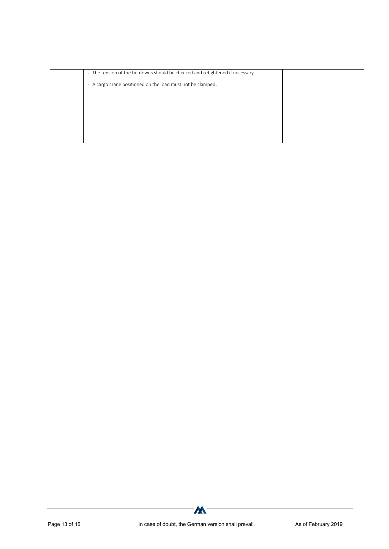| - The tension of the tie-downs should be checked and retightened if necessary. |  |
|--------------------------------------------------------------------------------|--|
| - A cargo crane positioned on the load must not be clamped.                    |  |
|                                                                                |  |
|                                                                                |  |
|                                                                                |  |
|                                                                                |  |
|                                                                                |  |

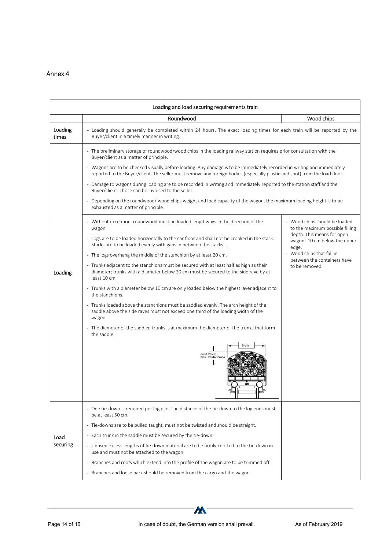| Loading and load securing requirements train |                                                                                                                                                                                                                                                       |                                                                     |  |  |  |
|----------------------------------------------|-------------------------------------------------------------------------------------------------------------------------------------------------------------------------------------------------------------------------------------------------------|---------------------------------------------------------------------|--|--|--|
|                                              | Roundwood                                                                                                                                                                                                                                             | Wood chips                                                          |  |  |  |
| Loading<br>times                             | - Loading should generally be completed within 24 hours. The exact loading times for each train will be reported by the<br>Buyer/client in a timely manner in writing.                                                                                |                                                                     |  |  |  |
|                                              | - The preliminary storage of roundwood/wood chips in the loading railway station requires prior consultation with the<br>Buyer/client as a matter of principle.                                                                                       |                                                                     |  |  |  |
|                                              | - Wagons are to be checked visually before loading. Any damage is to be immediately recorded in writing and immediately<br>reported to the Buyer/client. The seller must remove any foreign bodies (especially plastic and soot) from the load floor. |                                                                     |  |  |  |
|                                              | - Damage to wagons during loading are to be recorded in writing and immediately reported to the station staff and the<br>Buyer/client. Those can be invoiced to the seller.                                                                           |                                                                     |  |  |  |
|                                              | - Depending on the roundwood/wood chips weight and load capacity of the wagon, the maximum loading height is to be<br>exhausted as a matter of principle.                                                                                             |                                                                     |  |  |  |
|                                              | - Without exception, roundwood must be loaded lengthways in the direction of the<br>wagon.                                                                                                                                                            | - Wood chips should be loaded<br>to the maximum possible filling    |  |  |  |
|                                              | - Logs are to be loaded horizontally to the car floor and shall not be crooked in the stack.<br>Stacks are to be loaded evenly with gaps in between the stacks                                                                                        | depth. This means for open<br>wagons 10 cm below the upper<br>edge. |  |  |  |
|                                              | - The logs overhang the middle of the stanchion by at least 20 cm.                                                                                                                                                                                    | - Wood chips that fall in<br>between the containers have            |  |  |  |
| Loading                                      | - Trunks adjacent to the stanchions must be secured with at least half as high as their<br>diameter; trunks with a diameter below 20 cm must be secured to the side rave by at<br>least 10 cm.                                                        | to be removed.                                                      |  |  |  |
|                                              | - Trunks with a diameter below 10 cm are only loaded below the highest layer adjacent to<br>the stanchions.                                                                                                                                           |                                                                     |  |  |  |
|                                              | - Trunks loaded above the stanchions must be saddled evenly. The arch height of the<br>saddle above the side raves must not exceed one third of the loading width of the<br>wagon.                                                                    |                                                                     |  |  |  |
|                                              | - The diameter of the saddled trunks is at maximum the diameter of the trunks that form<br>the saddle.                                                                                                                                                |                                                                     |  |  |  |
|                                              | mind. 20 cm<br>max, 1/3 der Breit                                                                                                                                                                                                                     |                                                                     |  |  |  |
|                                              | - One tie-down is required per log pile. The distance of the tie-down to the log ends must<br>be at least 50 cm.                                                                                                                                      |                                                                     |  |  |  |
|                                              | - Tie-downs are to be pulled taught, must not be twisted and should be straight.                                                                                                                                                                      |                                                                     |  |  |  |
| Load                                         | - Each trunk in the saddle must be secured by the tie-down.                                                                                                                                                                                           |                                                                     |  |  |  |
| securing                                     | - Unused excess lengths of tie-down material are to be firmly knotted to the tie-down in<br>use and must not be attached to the wagon:                                                                                                                |                                                                     |  |  |  |
|                                              | - Branches and roots which extend into the profile of the wagon are to be trimmed off.                                                                                                                                                                |                                                                     |  |  |  |
|                                              | - Branches and loose bark should be removed from the cargo and the wagon.                                                                                                                                                                             |                                                                     |  |  |  |

 $\boldsymbol{M}$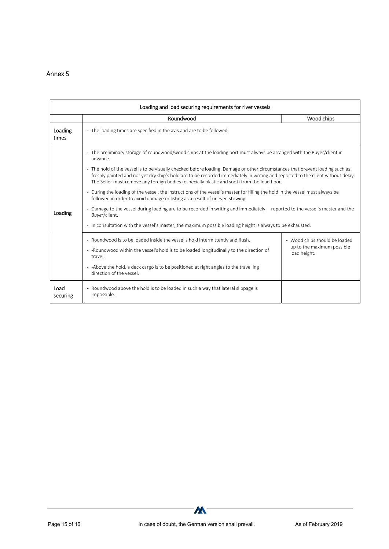| Loading and load securing requirements for river vessels |                                                                                                                                                                                                                                                                                                                                                                                                                                                                                                                                                                                                                                                                                                                                                                                                                                                                                                                                                                                      |                                                                             |  |  |  |
|----------------------------------------------------------|--------------------------------------------------------------------------------------------------------------------------------------------------------------------------------------------------------------------------------------------------------------------------------------------------------------------------------------------------------------------------------------------------------------------------------------------------------------------------------------------------------------------------------------------------------------------------------------------------------------------------------------------------------------------------------------------------------------------------------------------------------------------------------------------------------------------------------------------------------------------------------------------------------------------------------------------------------------------------------------|-----------------------------------------------------------------------------|--|--|--|
|                                                          | Roundwood                                                                                                                                                                                                                                                                                                                                                                                                                                                                                                                                                                                                                                                                                                                                                                                                                                                                                                                                                                            | Wood chips                                                                  |  |  |  |
| Loading<br>times                                         | - The loading times are specified in the avis and are to be followed.                                                                                                                                                                                                                                                                                                                                                                                                                                                                                                                                                                                                                                                                                                                                                                                                                                                                                                                |                                                                             |  |  |  |
| Loading                                                  | - The preliminary storage of roundwood/wood chips at the loading port must always be arranged with the Buyer/client in<br>advance.<br>- The hold of the vessel is to be visually checked before loading. Damage or other circumstances that prevent loading such as<br>freshly painted and not yet dry ship's hold are to be recorded immediately in writing and reported to the client without delay.<br>The Seller must remove any foreign bodies (especially plastic and soot) from the load floor.<br>- During the loading of the vessel, the instructions of the vessel's master for filling the hold in the vessel must always be<br>followed in order to avoid damage or listing as a result of uneven stowing.<br>- Damage to the vessel during loading are to be recorded in writing and immediately reported to the vessel's master and the<br>Buver/client.<br>- In consultation with the vessel's master, the maximum possible loading height is always to be exhausted. |                                                                             |  |  |  |
|                                                          | - Roundwood is to be loaded inside the vessel's hold intermittently and flush.<br>- - Roundwood within the vessel's hold is to be loaded longitudinally to the direction of<br>travel.<br>- -Above the hold, a deck cargo is to be positioned at right angles to the travelling<br>direction of the vessel.                                                                                                                                                                                                                                                                                                                                                                                                                                                                                                                                                                                                                                                                          | - Wood chips should be loaded<br>up to the maximum possible<br>load height. |  |  |  |
| Load<br>securing                                         | - Roundwood above the hold is to be loaded in such a way that lateral slippage is<br>impossible.                                                                                                                                                                                                                                                                                                                                                                                                                                                                                                                                                                                                                                                                                                                                                                                                                                                                                     |                                                                             |  |  |  |